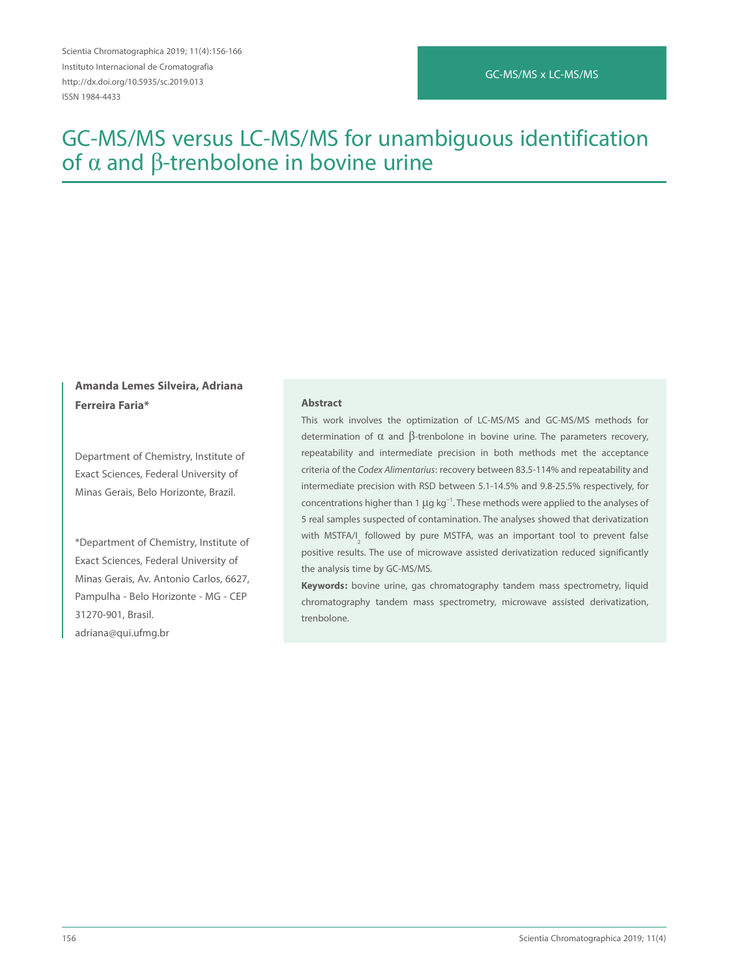# GC-MS/MS x LC-MS/MS

# GC-MS/MS versus LC-MS/MS for unambiguous identification of  $α$  and  $β$ -trenbolone in bovine urine

# **Amanda Lemes Silveira, Adriana Ferreira Faria\***

Department of Chemistry, Institute of Exact Sciences, Federal University of Minas Gerais, Belo Horizonte, Brazil.

\*Department of Chemistry, Institute of Exact Sciences, Federal University of Minas Gerais, Av. Antonio Carlos, 6627, Pampulha - Belo Horizonte - MG - CEP 31270-901, Brasil. adriana@qui.ufmg.br

### **Abstract**

This work involves the optimization of LC-MS/MS and GC-MS/MS methods for determination of  $\alpha$  and  $\beta$ -trenbolone in bovine urine. The parameters recovery, repeatability and intermediate precision in both methods met the acceptance criteria of the Codex Alimentarius: recovery between 83.5-114% and repeatability and intermediate precision with RSD between 5.1-14.5% and 9.8-25.5% respectively, for concentrations higher than 1 μg kg<sup>-1</sup>. These methods were applied to the analyses of 5 real samples suspected of contamination. The analyses showed that derivatization with MSTFA/I<sub>2</sub> followed by pure MSTFA, was an important tool to prevent false positive results. The use of microwave assisted derivatization reduced significantly the analysis time by GC-MS/MS.

**Keywords:** bovine urine, gas chromatography tandem mass spectrometry, liquid chromatography tandem mass spectrometry, microwave assisted derivatization, trenbolone.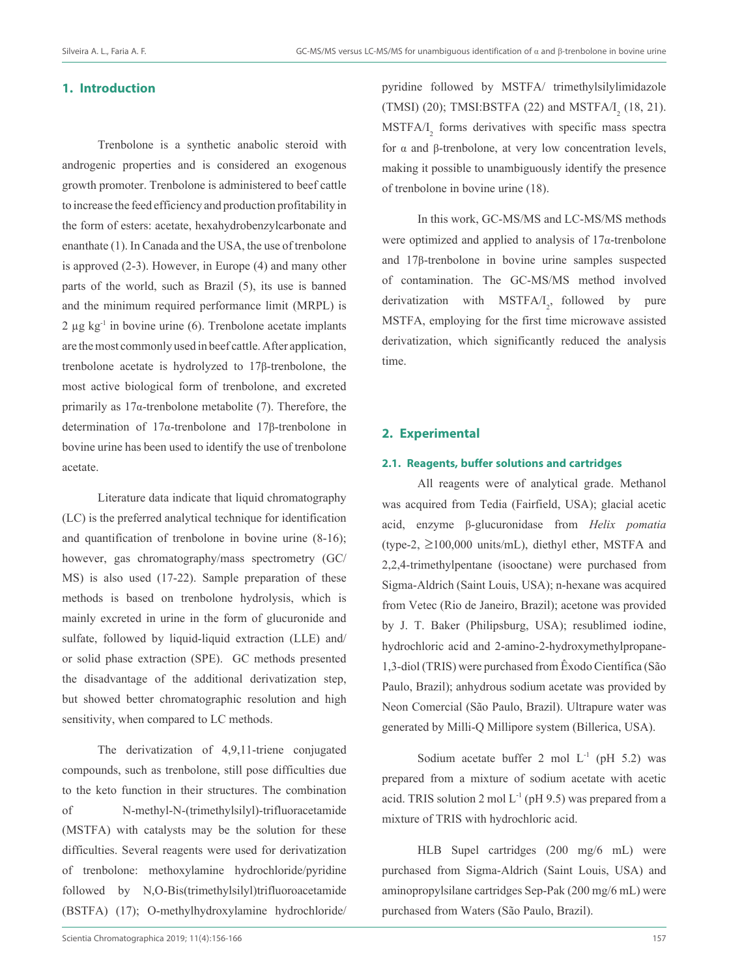# **1. Introduction**

Trenbolone is a synthetic anabolic steroid with androgenic properties and is considered an exogenous growth promoter. Trenbolone is administered to beef cattle to increase the feed efficiency and production profitability in the form of esters: acetate, hexahydrobenzylcarbonate and enanthate (1). In Canada and the USA, the use of trenbolone is approved (2-3). However, in Europe (4) and many other parts of the world, such as Brazil (5), its use is banned and the minimum required performance limit (MRPL) is 2  $\mu$ g kg<sup>-1</sup> in bovine urine (6). Trenbolone acetate implants are the most commonly used in beef cattle. After application, trenbolone acetate is hydrolyzed to 17β-trenbolone, the most active biological form of trenbolone, and excreted primarily as  $17\alpha$ -trenbolone metabolite (7). Therefore, the determination of 17α-trenbolone and 17β-trenbolone in bovine urine has been used to identify the use of trenbolone acetate.

Literature data indicate that liquid chromatography (LC) is the preferred analytical technique for identification and quantification of trenbolone in bovine urine (8-16); however, gas chromatography/mass spectrometry (GC/ MS) is also used (17-22). Sample preparation of these methods is based on trenbolone hydrolysis, which is mainly excreted in urine in the form of glucuronide and sulfate, followed by liquid-liquid extraction (LLE) and/ or solid phase extraction (SPE). GC methods presented the disadvantage of the additional derivatization step, but showed better chromatographic resolution and high sensitivity, when compared to LC methods.

The derivatization of 4,9,11-triene conjugated compounds, such as trenbolone, still pose difficulties due to the keto function in their structures. The combination of N-methyl-N-(trimethylsilyl)-trifluoracetamide (MSTFA) with catalysts may be the solution for these difficulties. Several reagents were used for derivatization of trenbolone: methoxylamine hydrochloride/pyridine followed by N,O-Bis(trimethylsilyl)trifluoroacetamide (BSTFA) (17); O-methylhydroxylamine hydrochloride/

pyridine followed by MSTFA/ trimethylsilylimidazole (TMSI) (20); TMSI:BSTFA (22) and MSTFA/ $I_2$  (18, 21).  $MSTFA/I<sub>2</sub>$  forms derivatives with specific mass spectra for α and β-trenbolone, at very low concentration levels, making it possible to unambiguously identify the presence of trenbolone in bovine urine (18).

In this work, GC-MS/MS and LC-MS/MS methods were optimized and applied to analysis of  $17\alpha$ -trenbolone and 17β-trenbolone in bovine urine samples suspected of contamination. The GC-MS/MS method involved derivatization with  $MSTFA/I_2$ , followed by pure MSTFA, employing for the first time microwave assisted derivatization, which significantly reduced the analysis time.

# **2. Experimental**

# **2.1. Reagents, buffer solutions and cartridges**

All reagents were of analytical grade. Methanol was acquired from Tedia (Fairfield, USA); glacial acetic acid, enzyme β-glucuronidase from *Helix pomatia* (type-2,  $\geq$ 100,000 units/mL), diethyl ether, MSTFA and 2,2,4-trimethylpentane (isooctane) were purchased from Sigma-Aldrich (Saint Louis, USA); n-hexane was acquired from Vetec (Rio de Janeiro, Brazil); acetone was provided by J. T. Baker (Philipsburg, USA); resublimed iodine, hydrochloric acid and 2-amino-2-hydroxymethylpropane-1,3-diol (TRIS) were purchased from Êxodo Científica (São Paulo, Brazil); anhydrous sodium acetate was provided by Neon Comercial (São Paulo, Brazil). Ultrapure water was generated by Milli-Q Millipore system (Billerica, USA).

Sodium acetate buffer 2 mol  $L^{-1}$  (pH 5.2) was prepared from a mixture of sodium acetate with acetic acid. TRIS solution 2 mol  $L^{-1}$  (pH 9.5) was prepared from a mixture of TRIS with hydrochloric acid.

HLB Supel cartridges (200 mg/6 mL) were purchased from Sigma-Aldrich (Saint Louis, USA) and aminopropylsilane cartridges Sep-Pak (200 mg/6 mL) were purchased from Waters (São Paulo, Brazil).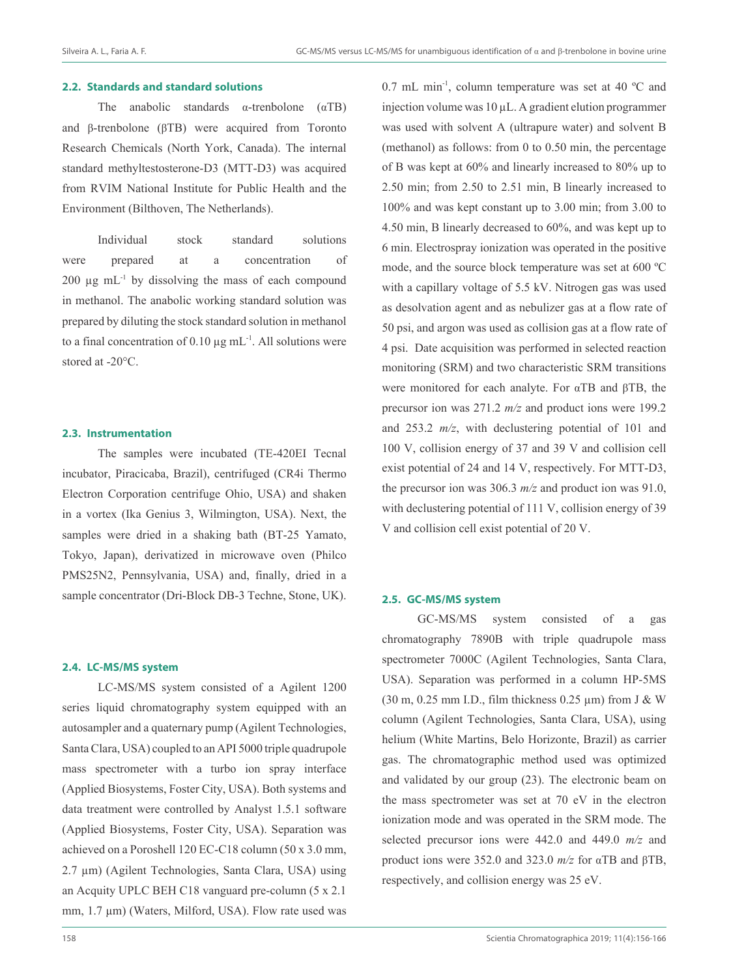# **2.2. Standards and standard solutions**

The anabolic standards  $\alpha$ -trenbolone ( $\alpha$ TB) and β-trenbolone (βTB) were acquired from Toronto Research Chemicals (North York, Canada). The internal standard methyltestosterone-D3 (MTT-D3) was acquired from RVIM National Institute for Public Health and the Environment (Bilthoven, The Netherlands).

Individual stock standard solutions were prepared at a concentration of  $200 \mu g$  mL $^{-1}$  by dissolving the mass of each compound in methanol. The anabolic working standard solution was prepared by diluting the stock standard solution in methanol to a final concentration of 0.10  $\mu$ g mL<sup>-1</sup>. All solutions were stored at -20°C.

#### **2.3. Instrumentation**

The samples were incubated (TE-420EI Tecnal incubator, Piracicaba, Brazil), centrifuged (CR4i Thermo Electron Corporation centrifuge Ohio, USA) and shaken in a vortex (Ika Genius 3, Wilmington, USA). Next, the samples were dried in a shaking bath (BT-25 Yamato, Tokyo, Japan), derivatized in microwave oven (Philco PMS25N2, Pennsylvania, USA) and, finally, dried in a sample concentrator (Dri-Block DB-3 Techne, Stone, UK).

#### **2.4. LC-MS/MS system**

LC-MS/MS system consisted of a Agilent 1200 series liquid chromatography system equipped with an autosampler and a quaternary pump (Agilent Technologies, Santa Clara, USA) coupled to an API 5000 triple quadrupole mass spectrometer with a turbo ion spray interface (Applied Biosystems, Foster City, USA). Both systems and data treatment were controlled by Analyst 1.5.1 software (Applied Biosystems, Foster City, USA). Separation was achieved on a Poroshell 120 EC-C18 column (50 x 3.0 mm, 2.7 µm) (Agilent Technologies, Santa Clara, USA) using an Acquity UPLC BEH C18 vanguard pre-column (5 x 2.1 mm, 1.7  $\mu$ m) (Waters, Milford, USA). Flow rate used was

0.7 mL min<sup>-1</sup>, column temperature was set at 40  $^{\circ}$ C and injection volume was 10 µL. A gradient elution programmer was used with solvent A (ultrapure water) and solvent B (methanol) as follows: from 0 to 0.50 min, the percentage of B was kept at 60% and linearly increased to 80% up to 2.50 min; from 2.50 to 2.51 min, B linearly increased to 100% and was kept constant up to 3.00 min; from 3.00 to 4.50 min, B linearly decreased to 60%, and was kept up to 6 min. Electrospray ionization was operated in the positive mode, and the source block temperature was set at 600 ºC with a capillary voltage of 5.5 kV. Nitrogen gas was used as desolvation agent and as nebulizer gas at a flow rate of 50 psi, and argon was used as collision gas at a flow rate of 4 psi. Date acquisition was performed in selected reaction monitoring (SRM) and two characteristic SRM transitions were monitored for each analyte. For αTB and βTB, the precursor ion was 271.2 *m/z* and product ions were 199.2 and 253.2 *m/z*, with declustering potential of 101 and 100 V, collision energy of 37 and 39 V and collision cell exist potential of 24 and 14 V, respectively. For MTT-D3, the precursor ion was 306.3 *m/z* and product ion was 91.0, with declustering potential of 111 V, collision energy of 39 V and collision cell exist potential of 20 V.

## **2.5. GC-MS/MS system**

GC-MS/MS system consisted of a gas chromatography 7890B with triple quadrupole mass spectrometer 7000C (Agilent Technologies, Santa Clara, USA). Separation was performed in a column HP-5MS (30 m, 0.25 mm I.D., film thickness 0.25  $\mu$ m) from J & W column (Agilent Technologies, Santa Clara, USA), using helium (White Martins, Belo Horizonte, Brazil) as carrier gas. The chromatographic method used was optimized and validated by our group (23). The electronic beam on the mass spectrometer was set at 70 eV in the electron ionization mode and was operated in the SRM mode. The selected precursor ions were 442.0 and 449.0 *m/z* and product ions were 352.0 and 323.0 *m/z* for αTB and βTB, respectively, and collision energy was 25 eV.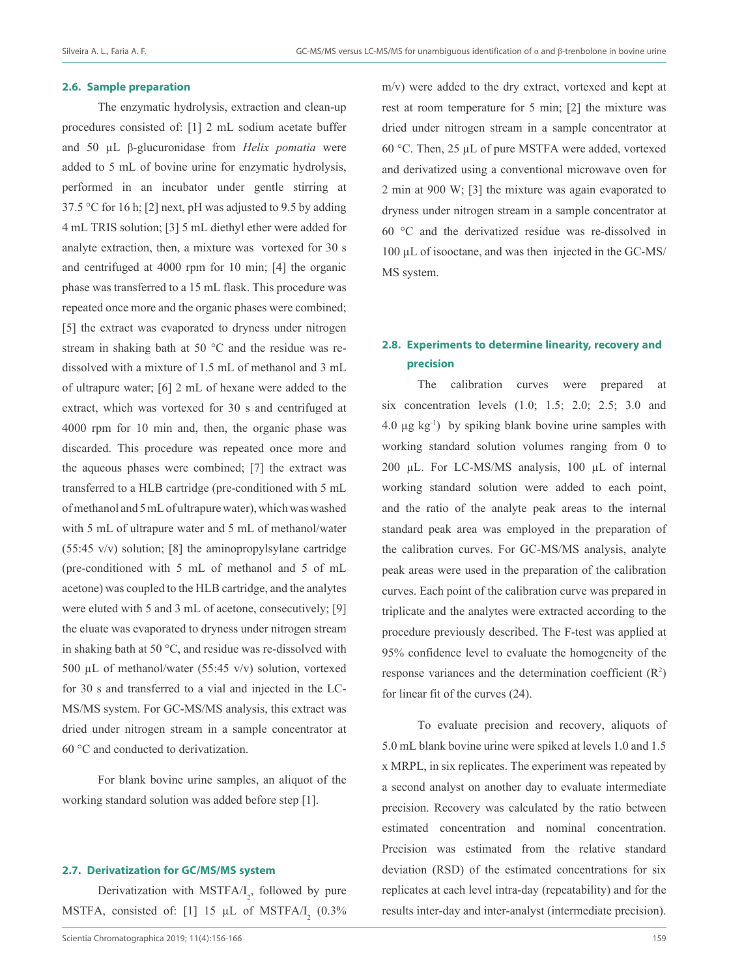#### **2.6. Sample preparation**

The enzymatic hydrolysis, extraction and clean-up procedures consisted of: [1] 2 mL sodium acetate buffer and 50 µL β-glucuronidase from *Helix pomatia* were added to 5 mL of bovine urine for enzymatic hydrolysis, performed in an incubator under gentle stirring at 37.5 °C for 16 h; [2] next, pH was adjusted to 9.5 by adding 4 mL TRIS solution; [3] 5 mL diethyl ether were added for analyte extraction, then, a mixture was vortexed for 30 s and centrifuged at 4000 rpm for 10 min; [4] the organic phase was transferred to a 15 mL flask. This procedure was repeated once more and the organic phases were combined; [5] the extract was evaporated to dryness under nitrogen stream in shaking bath at 50 °C and the residue was redissolved with a mixture of 1.5 mL of methanol and 3 mL of ultrapure water; [6] 2 mL of hexane were added to the extract, which was vortexed for 30 s and centrifuged at 4000 rpm for 10 min and, then, the organic phase was discarded. This procedure was repeated once more and the aqueous phases were combined; [7] the extract was transferred to a HLB cartridge (pre-conditioned with 5 mL of methanol and 5 mL of ultrapure water), which was washed with 5 mL of ultrapure water and 5 mL of methanol/water (55:45 v/v) solution; [8] the aminopropylsylane cartridge (pre-conditioned with 5 mL of methanol and 5 of mL acetone) was coupled to the HLB cartridge, and the analytes were eluted with 5 and 3 mL of acetone, consecutively; [9] the eluate was evaporated to dryness under nitrogen stream in shaking bath at 50 °C, and residue was re-dissolved with 500 µL of methanol/water (55:45 v/v) solution, vortexed for 30 s and transferred to a vial and injected in the LC-MS/MS system. For GC-MS/MS analysis, this extract was dried under nitrogen stream in a sample concentrator at 60 °C and conducted to derivatization.

For blank bovine urine samples, an aliquot of the working standard solution was added before step [1].

#### **2.7. Derivatization for GC/MS/MS system**

Derivatization with  $MSTFA/I<sub>2</sub>$ , followed by pure MSTFA, consisted of: [1] 15  $\mu$ L of MSTFA/I<sub>2</sub> (0.3%) m/v) were added to the dry extract, vortexed and kept at rest at room temperature for 5 min; [2] the mixture was dried under nitrogen stream in a sample concentrator at 60 °C. Then, 25 µL of pure MSTFA were added, vortexed and derivatized using a conventional microwave oven for 2 min at 900 W; [3] the mixture was again evaporated to dryness under nitrogen stream in a sample concentrator at 60 °C and the derivatized residue was re-dissolved in 100 µL of isooctane, and was then injected in the GC-MS/ MS system.

# **2.8. Experiments to determine linearity, recovery and precision**

The calibration curves were prepared at six concentration levels (1.0; 1.5; 2.0; 2.5; 3.0 and 4.0  $\mu$ g kg<sup>-1</sup>) by spiking blank bovine urine samples with working standard solution volumes ranging from 0 to 200 µL. For LC-MS/MS analysis, 100 µL of internal working standard solution were added to each point, and the ratio of the analyte peak areas to the internal standard peak area was employed in the preparation of the calibration curves. For GC-MS/MS analysis, analyte peak areas were used in the preparation of the calibration curves. Each point of the calibration curve was prepared in triplicate and the analytes were extracted according to the procedure previously described. The F-test was applied at 95% confidence level to evaluate the homogeneity of the response variances and the determination coefficient  $(R<sup>2</sup>)$ for linear fit of the curves (24).

To evaluate precision and recovery, aliquots of 5.0 mL blank bovine urine were spiked at levels 1.0 and 1.5 x MRPL, in six replicates. The experiment was repeated by a second analyst on another day to evaluate intermediate precision. Recovery was calculated by the ratio between estimated concentration and nominal concentration. Precision was estimated from the relative standard deviation (RSD) of the estimated concentrations for six replicates at each level intra-day (repeatability) and for the results inter-day and inter-analyst (intermediate precision).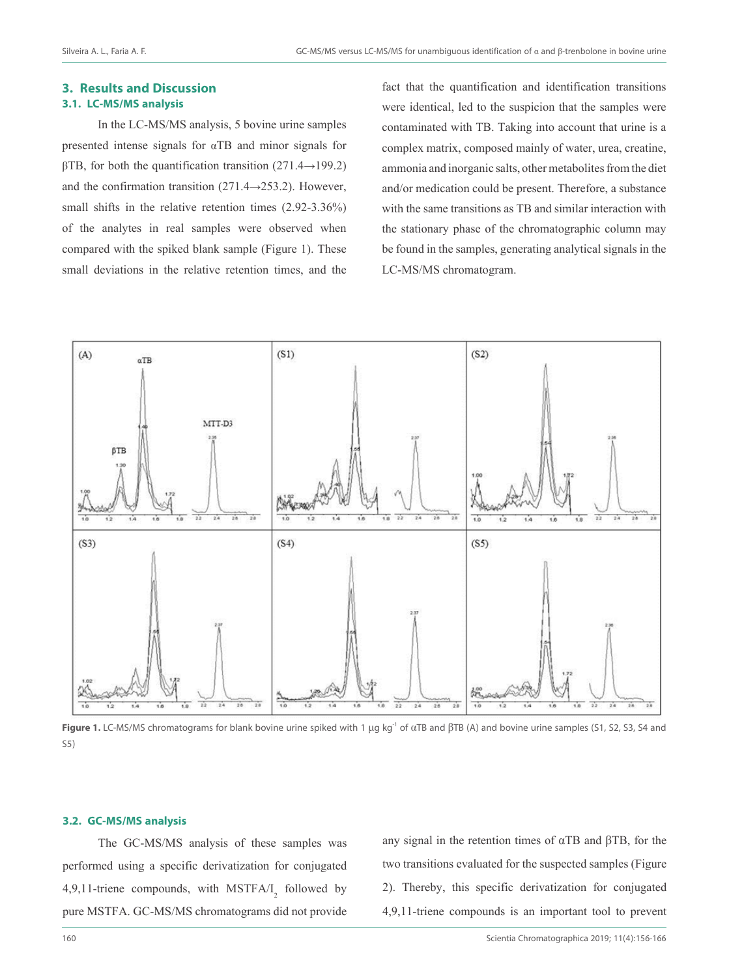# **3. Results and Discussion 3.1. LC-MS/MS analysis**

In the LC-MS/MS analysis, 5 bovine urine samples presented intense signals for αTB and minor signals for βTB, for both the quantification transition (271.4→199.2) and the confirmation transition  $(271.4 \rightarrow 253.2)$ . However, small shifts in the relative retention times (2.92-3.36%) of the analytes in real samples were observed when compared with the spiked blank sample (Figure 1). These small deviations in the relative retention times, and the

fact that the quantification and identification transitions were identical, led to the suspicion that the samples were contaminated with TB. Taking into account that urine is a complex matrix, composed mainly of water, urea, creatine, ammonia and inorganic salts, other metabolites from the diet and/or medication could be present. Therefore, a substance with the same transitions as TB and similar interaction with the stationary phase of the chromatographic column may be found in the samples, generating analytical signals in the LC-MS/MS chromatogram.



**Figure 1.** LC-MS/MS chromatograms for blank bovine urine spiked with 1 μg kg<sup>-1</sup> of αTB and βTB (A) and bovine urine samples (S1, S2, S3, S4 and S5)

# **3.2. GC-MS/MS analysis**

The GC-MS/MS analysis of these samples was performed using a specific derivatization for conjugated 4,9,11-triene compounds, with  $MSTFA/I_2$  followed by pure MSTFA. GC-MS/MS chromatograms did not provide

any signal in the retention times of  $α$ TB and  $β$ TB, for the two transitions evaluated for the suspected samples (Figure 2). Thereby, this specific derivatization for conjugated 4,9,11-triene compounds is an important tool to prevent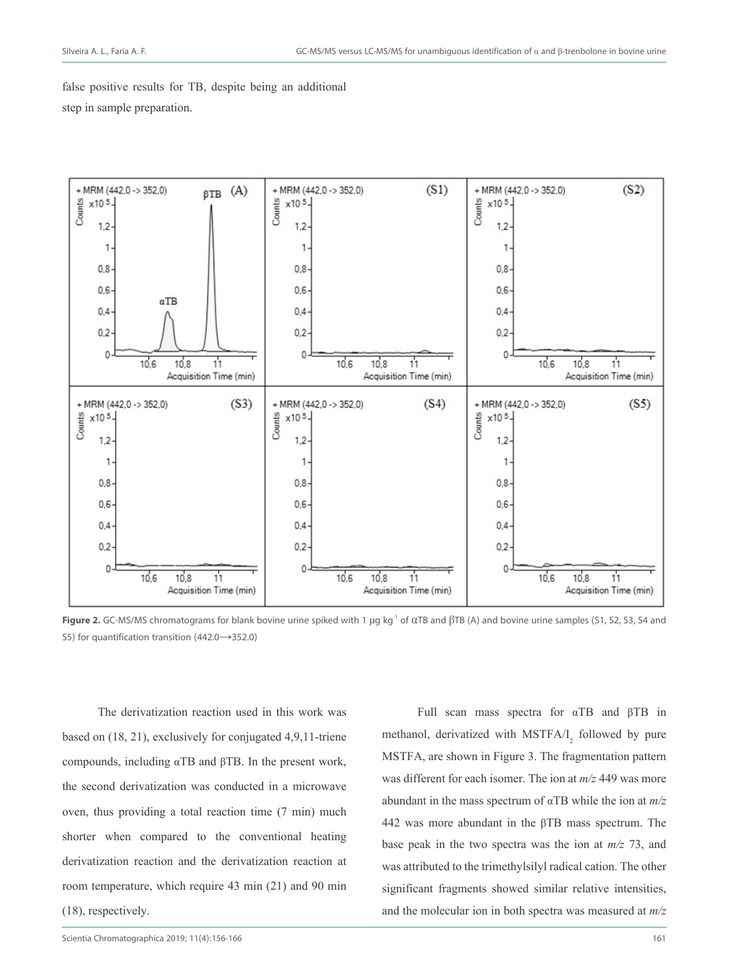false positive results for TB, despite being an additional step in sample preparation.



Figure 2. GC-MS/MS chromatograms for blank bovine urine spiked with 1 μg kg<sup>-1</sup> of αTB and βTB (A) and bovine urine samples (S1, S2, S3, S4 and S5) for quantification transition (442.0→352.0)

The derivatization reaction used in this work was based on (18, 21), exclusively for conjugated 4,9,11-triene compounds, including αTB and βTB. In the present work, the second derivatization was conducted in a microwave oven, thus providing a total reaction time (7 min) much shorter when compared to the conventional heating derivatization reaction and the derivatization reaction at room temperature, which require 43 min (21) and 90 min (18), respectively.

Full scan mass spectra for αTB and βTB in methanol, derivatized with  $MSTFA/I$ <sub>2</sub> followed by pure MSTFA, are shown in Figure 3. The fragmentation pattern was different for each isomer. The ion at *m/z* 449 was more abundant in the mass spectrum of αTB while the ion at *m/z* 442 was more abundant in the βTB mass spectrum. The base peak in the two spectra was the ion at *m/z* 73, and was attributed to the trimethylsilyl radical cation. The other significant fragments showed similar relative intensities, and the molecular ion in both spectra was measured at *m/z*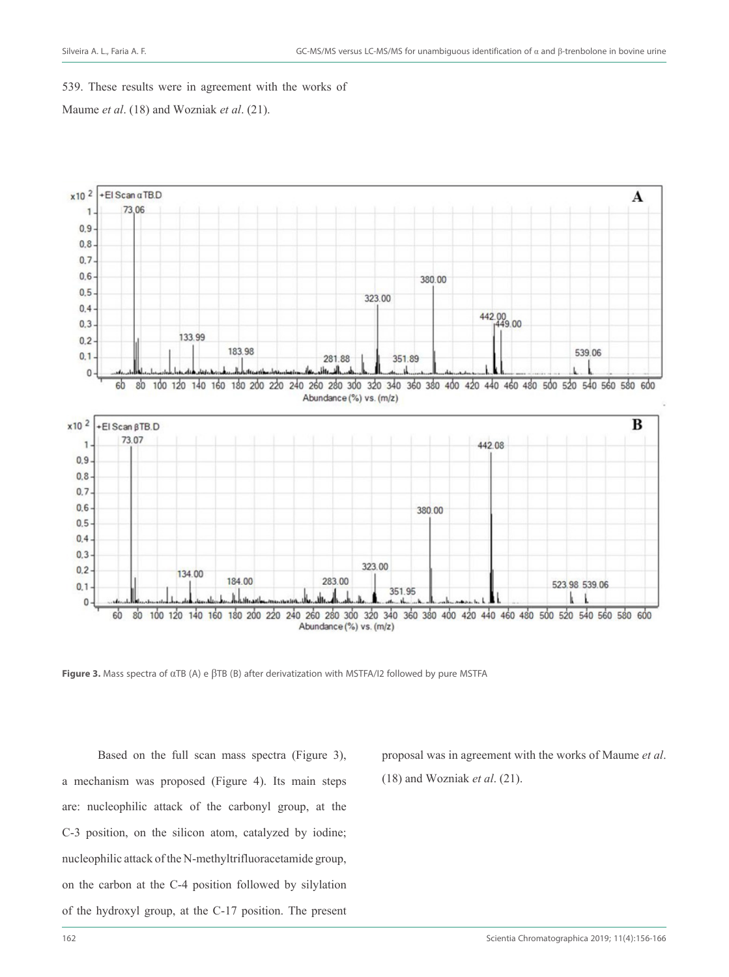### 539. These results were in agreement with the works of

Maume *et al*. (18) and Wozniak *et al*. (21).



**Figure 3.** Mass spectra of αTB (A) e βTB (B) after derivatization with MSTFA/I2 followed by pure MSTFA

Based on the full scan mass spectra (Figure 3), a mechanism was proposed (Figure 4). Its main steps are: nucleophilic attack of the carbonyl group, at the C-3 position, on the silicon atom, catalyzed by iodine; nucleophilic attack of the N-methyltrifluoracetamide group, on the carbon at the C-4 position followed by silylation of the hydroxyl group, at the C-17 position. The present proposal was in agreement with the works of Maume *et al*.

(18) and Wozniak *et al*. (21).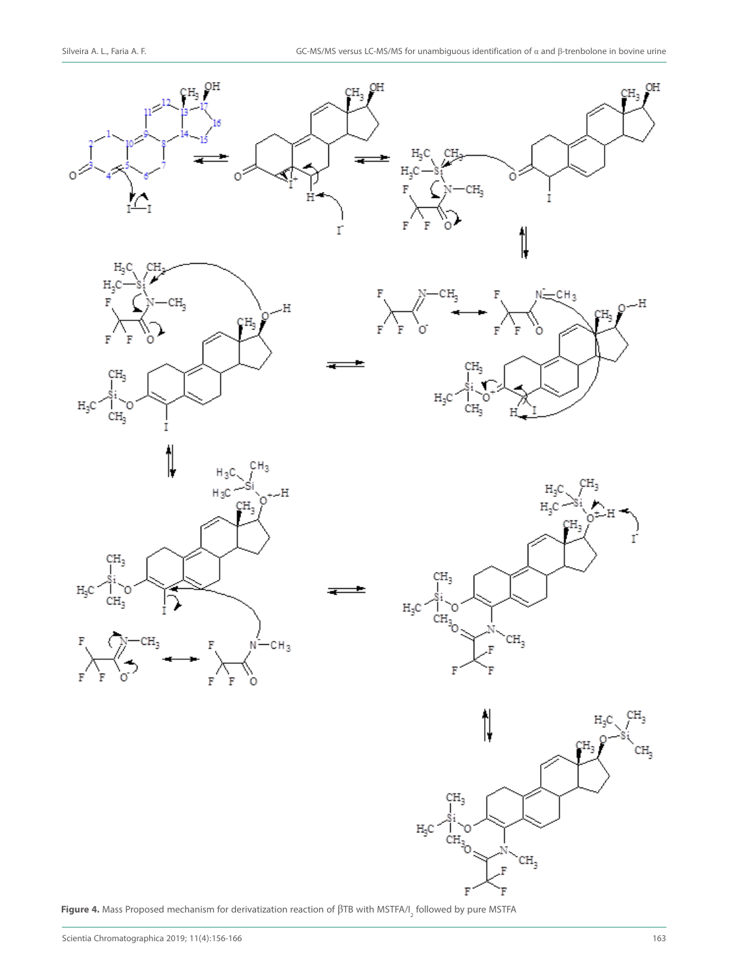

**Figure 4.** Mass Proposed mechanism for derivatization reaction of βTB with MSTFA/I<sub>2</sub> followed by pure MSTFA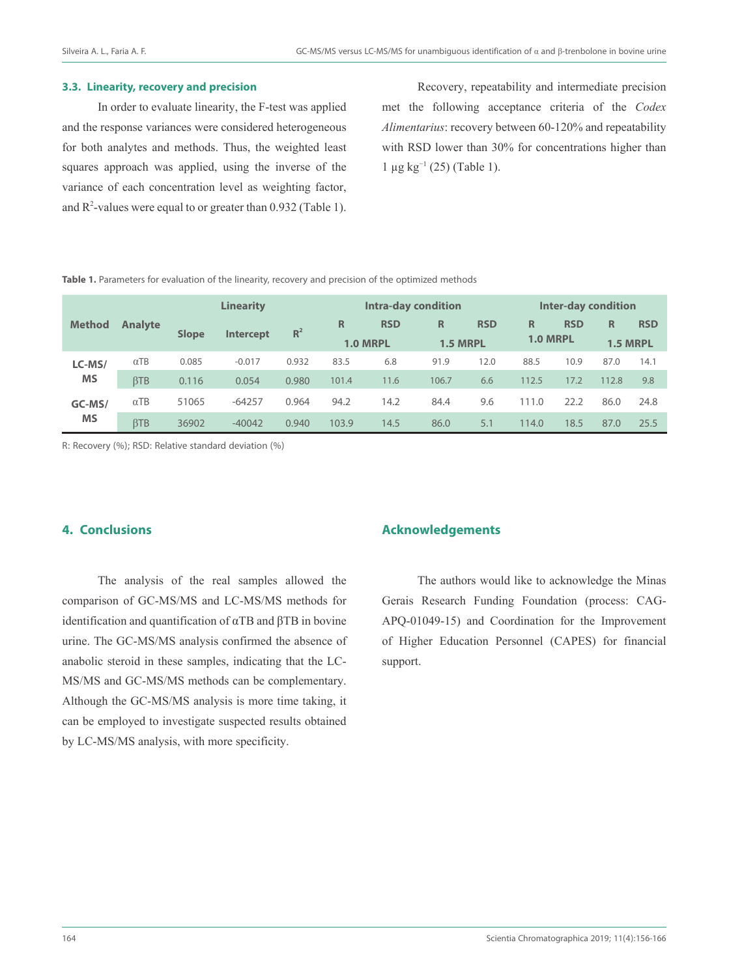#### **3.3. Linearity, recovery and precision**

In order to evaluate linearity, the F-test was applied and the response variances were considered heterogeneous for both analytes and methods. Thus, the weighted least squares approach was applied, using the inverse of the variance of each concentration level as weighting factor, and  $R^2$ -values were equal to or greater than 0.932 (Table 1).

Recovery, repeatability and intermediate precision met the following acceptance criteria of the *Codex Alimentarius*: recovery between 60-120% and repeatability with RSD lower than 30% for concentrations higher than  $1 \mu$ g kg<sup>-1</sup> (25) (Table 1).

Table 1. Parameters for evaluation of the linearity, recovery and precision of the optimized methods

|                     | <b>Analyte</b> | <b>Linearity</b> |                  |       | Intra-day condition |            |                 |            | Inter-day condition |            |                 |            |
|---------------------|----------------|------------------|------------------|-------|---------------------|------------|-----------------|------------|---------------------|------------|-----------------|------------|
| <b>Method</b>       |                | <b>Slope</b>     | <b>Intercept</b> | $R^2$ | R                   | <b>RSD</b> | R               | <b>RSD</b> | R                   | <b>RSD</b> | R               | <b>RSD</b> |
|                     |                |                  |                  |       | <b>1.0 MRPL</b>     |            | <b>1.5 MRPL</b> |            | 1.0 MRPL            |            | <b>1.5 MRPL</b> |            |
| LC-MS/<br><b>MS</b> | $\alpha$ TB    | 0.085            | $-0.017$         | 0.932 | 83.5                | 6.8        | 91.9            | 12.0       | 88.5                | 10.9       | 87.0            | 14.1       |
|                     | <b>BTB</b>     | 0.116            | 0.054            | 0.980 | 101.4               | 11.6       | 106.7           | 6.6        | 112.5               | 17.2       | 112.8           | 9.8        |
| GC-MS/<br><b>MS</b> | $\alpha$ TB    | 51065            | $-64257$         | 0.964 | 94.2                | 14.2       | 84.4            | 9.6        | 111.0               | 22.2       | 86.0            | 24.8       |
|                     | <b>BTB</b>     | 36902            | $-40042$         | 0.940 | 103.9               | 14.5       | 86.0            | 5.1        | 114.0               | 18.5       | 87.0            | 25.5       |

R: Recovery (%); RSD: Relative standard deviation (%)

# **4. Conclusions**

The analysis of the real samples allowed the comparison of GC-MS/MS and LC-MS/MS methods for identification and quantification of αTB and βTB in bovine urine. The GC-MS/MS analysis confirmed the absence of anabolic steroid in these samples, indicating that the LC-MS/MS and GC-MS/MS methods can be complementary. Although the GC-MS/MS analysis is more time taking, it can be employed to investigate suspected results obtained by LC-MS/MS analysis, with more specificity.

## **Acknowledgements**

The authors would like to acknowledge the Minas Gerais Research Funding Foundation (process: CAG-APQ-01049-15) and Coordination for the Improvement of Higher Education Personnel (CAPES) for financial support.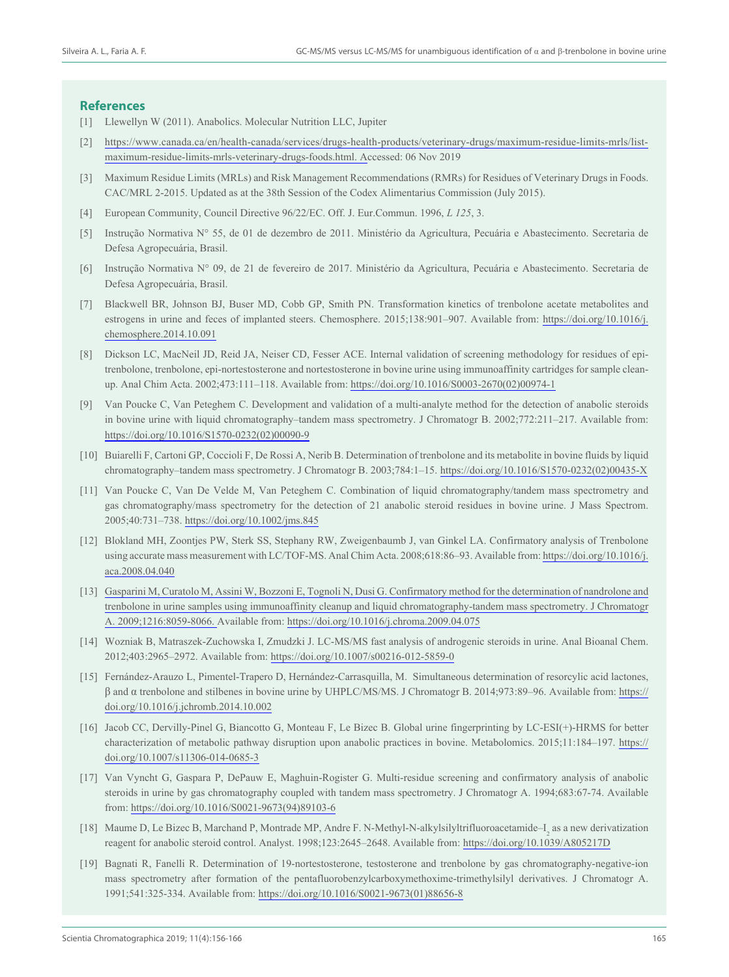#### **References**

- [1] Llewellyn W (2011). Anabolics. Molecular Nutrition LLC, Jupiter
- [2] https://www.canada.ca/en/health-canada/services/drugs-health-products/veterinary-drugs/maximum-residue-limits-mrls/listmaximum-residue-limits-mrls-veterinary-drugs-foods.html. Accessed: 06 Nov 2019
- [3] Maximum Residue Limits (MRLs) and Risk Management Recommendations (RMRs) for Residues of Veterinary Drugs in Foods. CAC/MRL 2-2015. Updated as at the 38th Session of the Codex Alimentarius Commission (July 2015).
- [4] European Community, Council Directive 96/22/EC. Off. J. Eur.Commun. 1996, *L 125*, 3.
- [5] Instrução Normativa N° 55, de 01 de dezembro de 2011. Ministério da Agricultura, Pecuária e Abastecimento. Secretaria de Defesa Agropecuária, Brasil.
- [6] Instrução Normativa N° 09, de 21 de fevereiro de 2017. Ministério da Agricultura, Pecuária e Abastecimento. Secretaria de Defesa Agropecuária, Brasil.
- [7] Blackwell BR, Johnson BJ, Buser MD, Cobb GP, Smith PN. Transformation kinetics of trenbolone acetate metabolites and estrogens in urine and feces of implanted steers. Chemosphere. 2015;138:901–907. Available from: https://doi.org/10.1016/j. chemosphere.2014.10.091
- [8] Dickson LC, MacNeil JD, Reid JA, Neiser CD, Fesser ACE. Internal validation of screening methodology for residues of epitrenbolone, trenbolone, epi-nortestosterone and nortestosterone in bovine urine using immunoaffinity cartridges for sample cleanup. Anal Chim Acta. 2002;473:111–118. Available from: https://doi.org/10.1016/S0003-2670(02)00974-1
- [9] Van Poucke C, Van Peteghem C. Development and validation of a multi-analyte method for the detection of anabolic steroids in bovine urine with liquid chromatography–tandem mass spectrometry. J Chromatogr B. 2002;772:211–217. Available from: https://doi.org/10.1016/S1570-0232(02)00090-9
- [10] Buiarelli F, Cartoni GP, Coccioli F, De Rossi A, Nerib B. Determination of trenbolone and its metabolite in bovine fluids by liquid chromatography–tandem mass spectrometry. J Chromatogr B. 2003;784:1–15. https://doi.org/10.1016/S1570-0232(02)00435-X
- [11] Van Poucke C, Van De Velde M, Van Peteghem C. Combination of liquid chromatography/tandem mass spectrometry and gas chromatography/mass spectrometry for the detection of 21 anabolic steroid residues in bovine urine. J Mass Spectrom. 2005;40:731–738. https://doi.org/10.1002/jms.845
- [12] Blokland MH, Zoontjes PW, Sterk SS, Stephany RW, Zweigenbaumb J, van Ginkel LA. Confirmatory analysis of Trenbolone using accurate mass measurement with LC/TOF-MS. Anal Chim Acta. 2008;618:86–93. Available from: https://doi.org/10.1016/j. aca.2008.04.040
- [13] Gasparini M, Curatolo M, Assini W, Bozzoni E, Tognoli N, Dusi G. Confirmatory method for the determination of nandrolone and trenbolone in urine samples using immunoaffinity cleanup and liquid chromatography-tandem mass spectrometry. J Chromatogr A. 2009;1216:8059-8066. Available from: https://doi.org/10.1016/j.chroma.2009.04.075
- [14] Wozniak B, Matraszek-Zuchowska I, Zmudzki J. LC-MS/MS fast analysis of androgenic steroids in urine. Anal Bioanal Chem. 2012;403:2965–2972. Available from: https://doi.org/10.1007/s00216-012-5859-0
- [15] Fernández-Arauzo L, Pimentel-Trapero D, Hernández-Carrasquilla, M. Simultaneous determination of resorcylic acid lactones, β and α trenbolone and stilbenes in bovine urine by UHPLC/MS/MS. J Chromatogr B. 2014;973:89–96. Available from: https:// doi.org/10.1016/j.jchromb.2014.10.002
- [16] Jacob CC, Dervilly-Pinel G, Biancotto G, Monteau F, Le Bizec B. Global urine fingerprinting by LC-ESI(+)-HRMS for better characterization of metabolic pathway disruption upon anabolic practices in bovine. Metabolomics. 2015;11:184–197. https:// doi.org/10.1007/s11306-014-0685-3
- [17] Van Vyncht G, Gaspara P, DePauw E, Maghuin-Rogister G. Multi-residue screening and confirmatory analysis of anabolic steroids in urine by gas chromatography coupled with tandem mass spectrometry. J Chromatogr A. 1994;683:67-74. Available from: https://doi.org/10.1016/S0021-9673(94)89103-6
- [18] Maume D, Le Bizec B, Marchand P, Montrade MP, Andre F. N-Methyl-N-alkylsilyltrifluoroacetamide–I<sub>2</sub> as a new derivatization reagent for anabolic steroid control. Analyst. 1998;123:2645–2648. Available from: https://doi.org/10.1039/A805217D
- [19] Bagnati R, Fanelli R. Determination of 19-nortestosterone, testosterone and trenbolone by gas chromatography-negative-ion mass spectrometry after formation of the pentafluorobenzylcarboxymethoxime-trimethylsilyl derivatives. J Chromatogr A. 1991;541:325-334. Available from: https://doi.org/10.1016/S0021-9673(01)88656-8